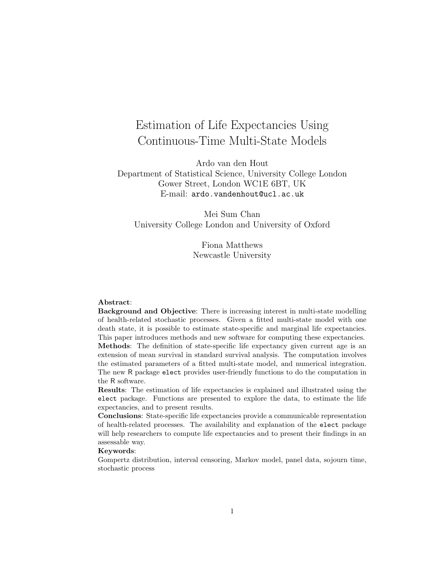# Estimation of Life Expectancies Using Continuous-Time Multi-State Models

Ardo van den Hout Department of Statistical Science, University College London Gower Street, London WC1E 6BT, UK E-mail: ardo.vandenhout@ucl.ac.uk

Mei Sum Chan University College London and University of Oxford

> Fiona Matthews Newcastle University

### Abstract:

Background and Objective: There is increasing interest in multi-state modelling of health-related stochastic processes. Given a fitted multi-state model with one death state, it is possible to estimate state-specific and marginal life expectancies. This paper introduces methods and new software for computing these expectancies. Methods: The definition of state-specific life expectancy given current age is an extension of mean survival in standard survival analysis. The computation involves the estimated parameters of a fitted multi-state model, and numerical integration. The new R package elect provides user-friendly functions to do the computation in the R software.

Results: The estimation of life expectancies is explained and illustrated using the elect package. Functions are presented to explore the data, to estimate the life expectancies, and to present results.

Conclusions: State-specific life expectancies provide a communicable representation of health-related processes. The availability and explanation of the elect package will help researchers to compute life expectancies and to present their findings in an assessable way.

### Keywords:

Gompertz distribution, interval censoring, Markov model, panel data, sojourn time, stochastic process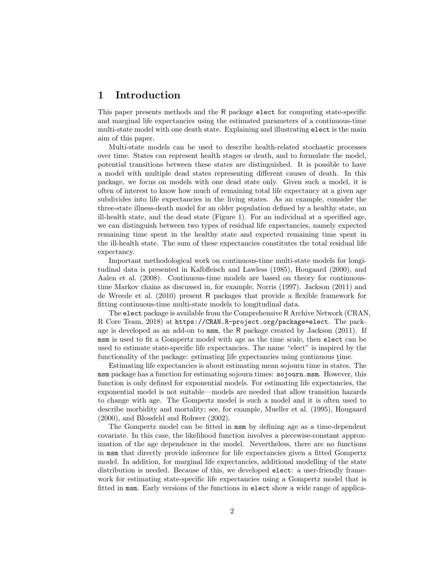# 1 Introduction

This paper presents methods and the R package elect for computing state-specific and marginal life expectancies using the estimated parameters of a continuous-time multi-state model with one death state. Explaining and illustrating elect is the main aim of this paper.

Multi-state models can be used to describe health-related stochastic processes over time. States can represent health stages or death, and to formulate the model, potential transitions between these states are distinguished. It is possible to have a model with multiple dead states representing different causes of death. In this package, we focus on models with one dead state only. Given such a model, it is often of interest to know how much of remaining total life expectancy at a given age subdivides into life expectancies in the living states. As an example, consider the three-state illness-death model for an older population defined by a healthy state, an ill-health state, and the dead state (Figure 1). For an individual at a specified age, we can distinguish between two types of residual life expectancies, namely expected remaining time spent in the healthy state and expected remaining time spent in the ill-health state. The sum of these expectancies constitutes the total residual life expectancy.

Important methodological work on continuous-time multi-state models for longitudinal data is presented in Kalbfleisch and Lawless (1985), Hougaard (2000), and Aalen et al. (2008). Continuous-time models are based on theory for continuoustime Markov chains as discussed in, for example, Norris (1997). Jackson (2011) and de Wreede et al. (2010) present R packages that provide a flexible framework for fitting continuous-time multi-state models to longitudinal data.

The elect package is available from the Comprehensive R Archive Network (CRAN, R Core Team, 2018) at https://CRAN.R-project.org/package=elect. The package is developed as an add-on to msm, the R package created by Jackson (2011). If msm is used to fit a Gompertz model with age as the time scale, then elect can be used to estimate state-specific life expectancies. The name "elect" is inspired by the functionality of the package: estimating life expectancies using continuous time.

Estimating life expectancies is about estimating mean sojourn time in states. The msm package has a function for estimating sojourn times: sojourn.msm. However, this function is only defined for exponential models. For estimating life expectancies, the exponential model is not suitable—models are needed that allow transition hazards to change with age. The Gompertz model is such a model and it is often used to describe morbidity and mortality; see, for example, Mueller et al. (1995), Hougaard (2000), and Blossfeld and Rohwer (2002).

The Gompertz model can be fitted in msm by defining age as a time-dependent covariate. In this case, the likelihood function involves a piecewise-constant approximation of the age dependence in the model. Nevertheless, there are no functions in msm that directly provide inference for life expectancies given a fitted Gompertz model. In addition, for marginal life expectancies, additional modelling of the state distribution is needed. Because of this, we developed elect: a user-friendly framework for estimating state-specific life expectancies using a Gompertz model that is fitted in msm. Early versions of the functions in elect show a wide range of applica-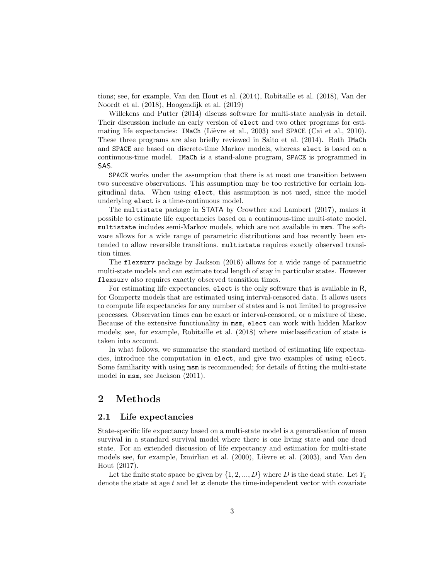tions; see, for example, Van den Hout et al. (2014), Robitaille et al. (2018), Van der Noordt et al. (2018), Hoogendijk et al. (2019)

Willekens and Putter (2014) discuss software for multi-state analysis in detail. Their discussion include an early version of elect and two other programs for estimating life expectancies: IMaCh (Lièvre et al., 2003) and SPACE (Cai et al., 2010). These three programs are also briefly reviewed in Saito et al. (2014). Both IMaCh and SPACE are based on discrete-time Markov models, whereas elect is based on a continuous-time model. IMaCh is a stand-alone program, SPACE is programmed in SAS.

SPACE works under the assumption that there is at most one transition between two successive observations. This assumption may be too restrictive for certain longitudinal data. When using elect, this assumption is not used, since the model underlying elect is a time-continuous model.

The multistate package in STATA by Crowther and Lambert (2017), makes it possible to estimate life expectancies based on a continuous-time multi-state model. multistate includes semi-Markov models, which are not available in msm. The software allows for a wide range of parametric distributions and has recently been extended to allow reversible transitions. multistate requires exactly observed transition times.

The flexsurv package by Jackson (2016) allows for a wide range of parametric multi-state models and can estimate total length of stay in particular states. However flexsurv also requires exactly observed transition times.

For estimating life expectancies, elect is the only software that is available in R, for Gompertz models that are estimated using interval-censored data. It allows users to compute life expectancies for any number of states and is not limited to progressive processes. Observation times can be exact or interval-censored, or a mixture of these. Because of the extensive functionality in msm, elect can work with hidden Markov models; see, for example, Robitaille et al. (2018) where misclassification of state is taken into account.

In what follows, we summarise the standard method of estimating life expectancies, introduce the computation in elect, and give two examples of using elect. Some familiarity with using msm is recommended; for details of fitting the multi-state model in msm, see Jackson (2011).

# 2 Methods

### 2.1 Life expectancies

State-specific life expectancy based on a multi-state model is a generalisation of mean survival in a standard survival model where there is one living state and one dead state. For an extended discussion of life expectancy and estimation for multi-state models see, for example, Izmirlian et al. (2000), Lièvre et al. (2003), and Van den Hout (2017).

Let the finite state space be given by  $\{1, 2, ..., D\}$  where D is the dead state. Let  $Y_t$ denote the state at age t and let  $\boldsymbol{x}$  denote the time-independent vector with covariate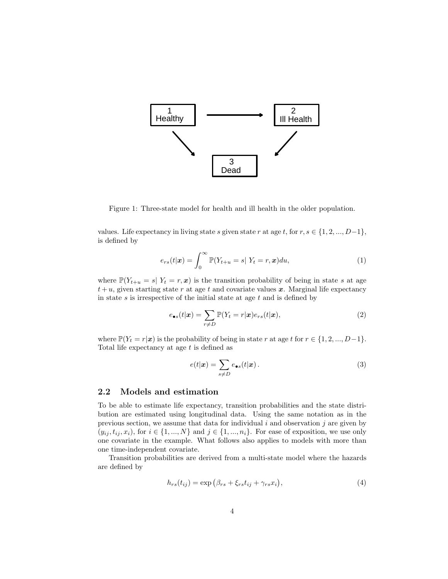

Figure 1: Three-state model for health and ill health in the older population.

values. Life expectancy in living state s given state r at age t, for  $r, s \in \{1, 2, ..., D-1\}$ , is defined by

$$
e_{rs}(t|\boldsymbol{x}) = \int_0^\infty \mathbb{P}(Y_{t+u} = s | Y_t = r, \boldsymbol{x}) du,
$$
\n(1)

where  $\mathbb{P}(Y_{t+u} = s | Y_t = r, x)$  is the transition probability of being in state s at age  $t + u$ , given starting state r at age t and covariate values x. Marginal life expectancy in state  $s$  is irrespective of the initial state at age  $t$  and is defined by

$$
e_{\bullet s}(t|\mathbf{x}) = \sum_{r \neq D} \mathbb{P}(Y_t = r|\mathbf{x}) e_{rs}(t|\mathbf{x}), \qquad (2)
$$

where  $\mathbb{P}(Y_t = r|\mathbf{x})$  is the probability of being in state r at age t for  $r \in \{1, 2, ..., D-1\}$ . Total life expectancy at age  $t$  is defined as

$$
e(t|\mathbf{x}) = \sum_{s \neq D} e_{\bullet s}(t|\mathbf{x}). \tag{3}
$$

### 2.2 Models and estimation

To be able to estimate life expectancy, transition probabilities and the state distribution are estimated using longitudinal data. Using the same notation as in the previous section, we assume that data for individual  $i$  and observation  $j$  are given by  $(y_{ij}, t_{ij}, x_i)$ , for  $i \in \{1, ..., N\}$  and  $j \in \{1, ..., n_i\}$ . For ease of exposition, we use only one covariate in the example. What follows also applies to models with more than one time-independent covariate.

Transition probabilities are derived from a multi-state model where the hazards are defined by

$$
h_{rs}(t_{ij}) = \exp\left(\beta_{rs} + \xi_{rs}t_{ij} + \gamma_{rs}x_i\right),\tag{4}
$$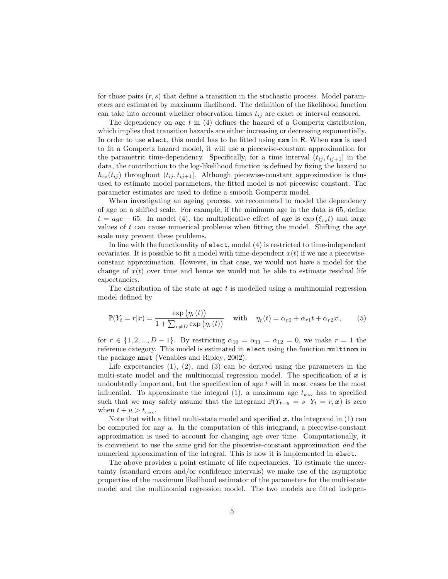for those pairs  $(r, s)$  that define a transition in the stochastic process. Model parameters are estimated by maximum likelihood. The definition of the likelihood function can take into account whether observation times  $t_{ij}$  are exact or interval censored.

The dependency on age  $t$  in  $(4)$  defines the hazard of a Gompertz distribution, which implies that transition hazards are either increasing or decreasing exponentially. In order to use elect, this model has to be fitted using msm in R. When msm is used to fit a Gompertz hazard model, it will use a piecewise-constant approximation for the parametric time-dependency. Specifically, for a time interval  $(t_{ii}, t_{ii+1}]$  in the data, the contribution to the log-likelihood function is defined by fixing the hazard to  $h_{rs}(t_{ij})$  throughout  $(t_{ij}, t_{ij+1}]$ . Although piecewise-constant approximation is thus used to estimate model parameters, the fitted model is not piecewise constant. The parameter estimates are used to define a smooth Gompertz model.

When investigating an ageing process, we recommend to model the dependency of age on a shifted scale. For example, if the minimum age in the data is 65, define  $t = age - 65$ . In model (4), the multiplicative effect of age is  $\exp(\xi_{rs}t)$  and large values of  $t$  can cause numerical problems when fitting the model. Shifting the age scale may prevent these problems.

In line with the functionality of elect, model (4) is restricted to time-independent covariates. It is possible to fit a model with time-dependent  $x(t)$  if we use a piecewiseconstant approximation. However, in that case, we would not have a model for the change of  $x(t)$  over time and hence we would not be able to estimate residual life expectancies.

The distribution of the state at age t is modelled using a multinomial regression model defined by

$$
\mathbb{P}(Y_t = r|x) = \frac{\exp(\eta_r(t))}{1 + \sum_{r \neq D} \exp(\eta_r(t))} \quad \text{with} \quad \eta_r(t) = \alpha_{r0} + \alpha_{r1}t + \alpha_{r2}x, \tag{5}
$$

for  $r \in \{1, 2, ..., D-1\}$ . By restricting  $\alpha_{10} = \alpha_{11} = \alpha_{12} = 0$ , we make  $r = 1$  the reference category. This model is estimated in elect using the function multinom in the package nnet (Venables and Ripley, 2002).

Life expectancies  $(1)$ ,  $(2)$ , and  $(3)$  can be derived using the parameters in the multi-state model and the multinomial regression model. The specification of  $x$  is undoubtedly important, but the specification of age  $t$  will in most cases be the most influential. To approximate the integral (1), a maximum age  $t_{\text{max}}$  has to specified such that we may safely assume that the integrand  $\mathbb{P}(Y_{t+u} = s | Y_t = r, x)$  is zero when  $t + u > t_{\text{max}}$ .

Note that with a fitted multi-state model and specified  $x$ , the integrand in (1) can be computed for any  $u$ . In the computation of this integrand, a piecewise-constant approximation is used to account for changing age over time. Computationally, it is convenient to use the same grid for the piecewise-constant approximation and the numerical approximation of the integral. This is how it is implemented in elect.

The above provides a point estimate of life expectancies. To estimate the uncertainty (standard errors and/or confidence intervals) we make use of the asymptotic properties of the maximum likelihood estimator of the parameters for the multi-state model and the multinomial regression model. The two models are fitted indepen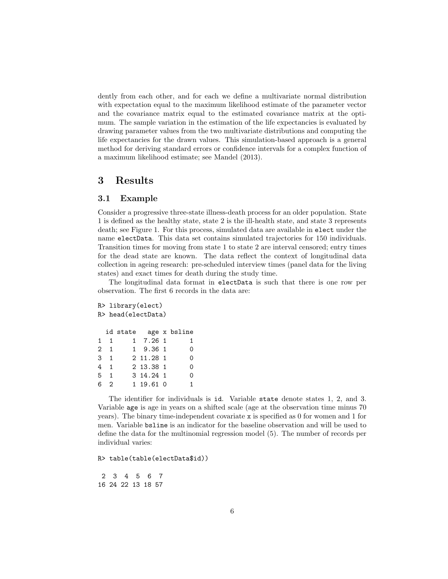dently from each other, and for each we define a multivariate normal distribution with expectation equal to the maximum likelihood estimate of the parameter vector and the covariance matrix equal to the estimated covariance matrix at the optimum. The sample variation in the estimation of the life expectancies is evaluated by drawing parameter values from the two multivariate distributions and computing the life expectancies for the drawn values. This simulation-based approach is a general method for deriving standard errors or confidence intervals for a complex function of a maximum likelihood estimate; see Mandel (2013).

# 3 Results

### 3.1 Example

Consider a progressive three-state illness-death process for an older population. State 1 is defined as the healthy state, state 2 is the ill-health state, and state 3 represents death; see Figure 1. For this process, simulated data are available in elect under the name electData. This data set contains simulated trajectories for 150 individuals. Transition times for moving from state 1 to state 2 are interval censored; entry times for the dead state are known. The data reflect the context of longitudinal data collection in ageing research: pre-scheduled interview times (panel data for the living states) and exact times for death during the study time.

The longitudinal data format in electData is such that there is one row per observation. The first 6 records in the data are:

```
R> library(elect)
R> head(electData)
 id state age x bsline
1 1 1 7.26 1 1
2 1 1 9.36 1 0
3 1 2 11.28 1 0
4 1 2 13.38 1 0
5 1 3 14.24 1 0
6 2 1 19.61 0 1
```
The identifier for individuals is id. Variable state denote states 1, 2, and 3. Variable age is age in years on a shifted scale (age at the observation time minus 70 years). The binary time-independent covariate x is specified as 0 for women and 1 for men. Variable bsline is an indicator for the baseline observation and will be used to define the data for the multinomial regression model (5). The number of records per individual varies:

R> table(table(electData\$id))

2 3 4 5 6 7 16 24 22 13 18 57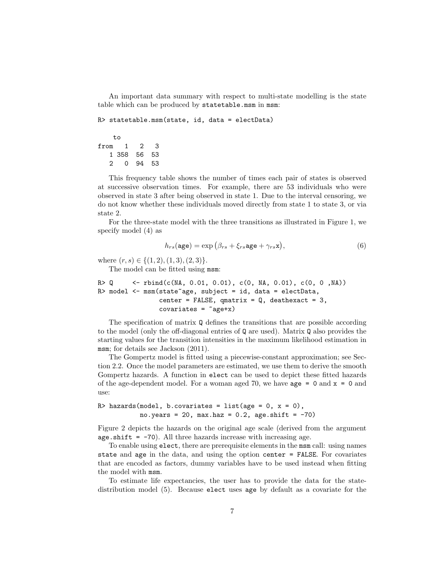An important data summary with respect to multi-state modelling is the state table which can be produced by statetable.msm in msm:

R> statetable.msm(state, id, data = electData)

to from 1 2 3 1 358 56 53 2 0 94 53

This frequency table shows the number of times each pair of states is observed at successive observation times. For example, there are 53 individuals who were observed in state 3 after being observed in state 1. Due to the interval censoring, we do not know whether these individuals moved directly from state 1 to state 3, or via state 2.

For the three-state model with the three transitions as illustrated in Figure 1, we specify model (4) as

$$
h_{rs}(\text{age}) = \exp\left(\beta_{rs} + \xi_{rs}\text{age} + \gamma_{rs}\mathbf{x}\right),\tag{6}
$$

where  $(r, s) \in \{(1, 2), (1, 3), (2, 3)\}.$ 

The model can be fitted using msm:

R> Q 
$$
\leftarrow \text{rbind}(c(NA, 0.01, 0.01), c(0, NA, 0.01), c(0, 0, NA))
$$
  
R> model  $\leftarrow \text{msm}(\text{state}^{\sim}\text{age}, \text{ subject} = \text{id}, \text{ data} = \text{electData},$   
center = FALSE, qmatrix = Q, \text{ deathexact} = 3,  
covariates =  $\sim \text{age+x}$ )

The specification of matrix Q defines the transitions that are possible according to the model (only the off-diagonal entries of Q are used). Matrix Q also provides the starting values for the transition intensities in the maximum likelihood estimation in msm; for details see Jackson (2011).

The Gompertz model is fitted using a piecewise-constant approximation; see Section 2.2. Once the model parameters are estimated, we use them to derive the smooth Gompertz hazards. A function in elect can be used to depict these fitted hazards of the age-dependent model. For a woman aged 70, we have  $\alpha$ ge = 0 and  $x = 0$  and use:

R> hazards(model, b.covariates = list(age = 0, x = 0), no.years = 20, max.haz = 0.2, age.shift = -70)

Figure 2 depicts the hazards on the original age scale (derived from the argument  $age. shift = -70$ . All three hazards increase with increasing age.

To enable using elect, there are prerequisite elements in the msm call: using names state and age in the data, and using the option center = FALSE. For covariates that are encoded as factors, dummy variables have to be used instead when fitting the model with msm.

To estimate life expectancies, the user has to provide the data for the statedistribution model (5). Because elect uses age by default as a covariate for the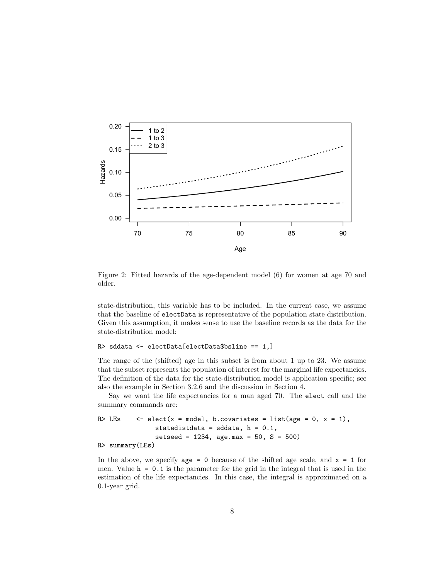

Figure 2: Fitted hazards of the age-dependent model (6) for women at age 70 and older.

state-distribution, this variable has to be included. In the current case, we assume that the baseline of electData is representative of the population state distribution. Given this assumption, it makes sense to use the baseline records as the data for the state-distribution model:

```
R> sddata <- electData[electData$bsline == 1,]
```
The range of the (shifted) age in this subset is from about 1 up to 23. We assume that the subset represents the population of interest for the marginal life expectancies. The definition of the data for the state-distribution model is application specific; see also the example in Section 3.2.6 and the discussion in Section 4.

Say we want the life expectancies for a man aged 70. The elect call and the summary commands are:

```
R> LEs \leftarrow elect(x = model, b.covariates = list(age = 0, x = 1),
                statedistdata = sddata, h = 0.1,
               setseed = 1234, age.max = 50, S = 500)
R> summary(LEs)
```
In the above, we specify  $\text{age} = 0$  because of the shifted age scale, and  $x = 1$  for men. Value  $h = 0.1$  is the parameter for the grid in the integral that is used in the estimation of the life expectancies. In this case, the integral is approximated on a 0.1-year grid.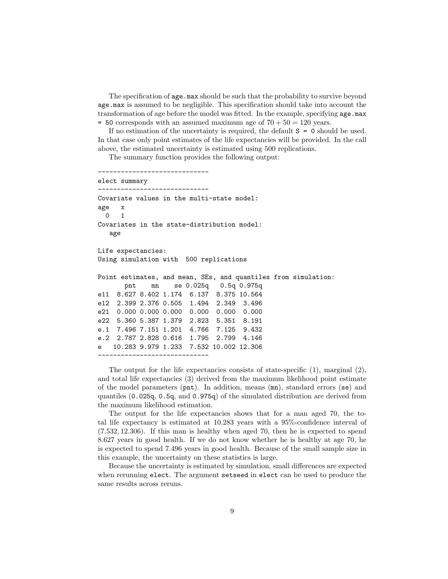The specification of age.max should be such that the probability to survive beyond age.max is assumed to be negligible. This specification should take into account the transformation of age before the model was fitted. In the example, specifying age.max  $= 50$  corresponds with an assumed maximum age of  $70 + 50 = 120$  years.

If no estimation of the uncertainty is required, the default  $S = 0$  should be used. In that case only point estimates of the life expectancies will be provided. In the call above, the estimated uncertainty is estimated using 500 replications.

The summary function provides the following output:

```
-----------------------------
elect summary
-----------------------------
Covariate values in the multi-state model:
age x
 \mathsf{O}Covariates in the state-distribution model:
  age
Life expectancies:
Using simulation with 500 replications
Point estimates, and mean, SEs, and quantiles from simulation:
      pnt mn se 0.025q 0.5q 0.975q
e11 8.627 8.402 1.174 6.137 8.375 10.564
e12 2.399 2.376 0.505 1.494 2.349 3.496
e21 0.000 0.000 0.000 0.000 0.000 0.000
e22 5.360 5.387 1.379 2.823 5.351 8.191
e.1 7.496 7.151 1.201 4.766 7.125 9.432
e.2 2.787 2.828 0.616 1.795 2.799 4.146
   e 10.283 9.979 1.233 7.532 10.002 12.306
  -----------------------------
```
The output for the life expectancies consists of state-specific  $(1)$ , marginal  $(2)$ , and total life expectancies (3) derived from the maximum likelihood point estimate of the model parameters (pnt). In addition, means (mn), standard errors (se) and quantiles (0.025q, 0.5q, and 0.975q) of the simulated distribution are derived from the maximum likelihood estimation.

The output for the life expectancies shows that for a man aged 70, the total life expectancy is estimated at 10.283 years with a 95%-confidence interval of (7.532, 12.306). If this man is healthy when aged 70, then he is expected to spend 8.627 years in good health. If we do not know whether he is healthy at age 70, he is expected to spend 7.496 years in good health. Because of the small sample size in this example, the uncertainty on these statistics is large.

Because the uncertainty is estimated by simulation, small differences are expected when rerunning elect. The argument setseed in elect can be used to produce the same results across reruns.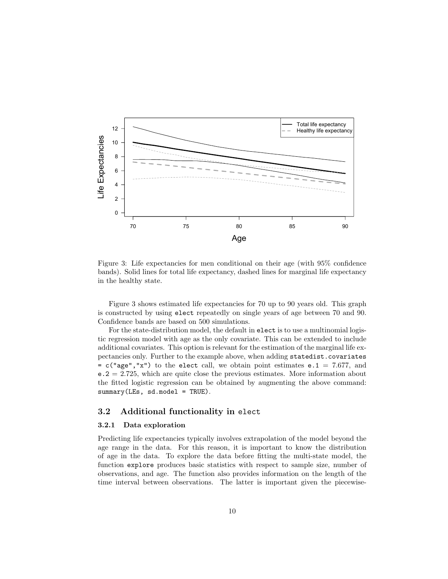

Figure 3: Life expectancies for men conditional on their age (with 95% confidence bands). Solid lines for total life expectancy, dashed lines for marginal life expectancy in the healthy state.

Figure 3 shows estimated life expectancies for 70 up to 90 years old. This graph is constructed by using elect repeatedly on single years of age between 70 and 90. Confidence bands are based on 500 simulations.

For the state-distribution model, the default in elect is to use a multinomial logistic regression model with age as the only covariate. This can be extended to include additional covariates. This option is relevant for the estimation of the marginal life expectancies only. Further to the example above, when adding statedist.covariates  $= c("age", "x")$  to the elect call, we obtain point estimates e. 1 = 7.677, and  $e.2 = 2.725$ , which are quite close the previous estimates. More information about the fitted logistic regression can be obtained by augmenting the above command:  $summary(LES, sd.model = TRUE).$ 

### 3.2 Additional functionality in elect

#### 3.2.1 Data exploration

Predicting life expectancies typically involves extrapolation of the model beyond the age range in the data. For this reason, it is important to know the distribution of age in the data. To explore the data before fitting the multi-state model, the function explore produces basic statistics with respect to sample size, number of observations, and age. The function also provides information on the length of the time interval between observations. The latter is important given the piecewise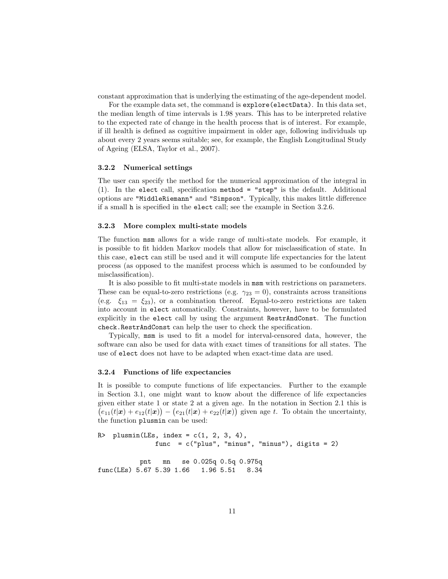constant approximation that is underlying the estimating of the age-dependent model.

For the example data set, the command is explore(electData). In this data set, the median length of time intervals is 1.98 years. This has to be interpreted relative to the expected rate of change in the health process that is of interest. For example, if ill health is defined as cognitive impairment in older age, following individuals up about every 2 years seems suitable; see, for example, the English Longitudinal Study of Ageing (ELSA, Taylor et al., 2007).

#### 3.2.2 Numerical settings

The user can specify the method for the numerical approximation of the integral in (1). In the elect call, specification method = "step" is the default. Additional options are "MiddleRiemann" and "Simpson". Typically, this makes little difference if a small h is specified in the elect call; see the example in Section 3.2.6.

#### 3.2.3 More complex multi-state models

The function msm allows for a wide range of multi-state models. For example, it is possible to fit hidden Markov models that allow for misclassification of state. In this case, elect can still be used and it will compute life expectancies for the latent process (as opposed to the manifest process which is assumed to be confounded by misclassification).

It is also possible to fit multi-state models in msm with restrictions on parameters. These can be equal-to-zero restrictions (e.g.  $\gamma_{23} = 0$ ), constraints across transitions (e.g.  $\xi_{13} = \xi_{23}$ ), or a combination thereof. Equal-to-zero restrictions are taken into account in elect automatically. Constraints, however, have to be formulated explicitly in the elect call by using the argument RestrAndConst. The function check.RestrAndConst can help the user to check the specification.

Typically, msm is used to fit a model for interval-censored data, however, the software can also be used for data with exact times of transitions for all states. The use of elect does not have to be adapted when exact-time data are used.

#### 3.2.4 Functions of life expectancies

func(LEs) 5.67 5.39 1.66 1.96 5.51 8.34

It is possible to compute functions of life expectancies. Further to the example in Section 3.1, one might want to know about the difference of life expectancies given either state 1 or state 2 at a given age. In the notation in Section 2.1 this is  $(e_{11}(t|\mathbf{x}) + e_{12}(t|\mathbf{x})) - (e_{21}(t|\mathbf{x}) + e_{22}(t|\mathbf{x}))$  given age t. To obtain the uncertainty, the function plusmin can be used:

```
R> plusmin(LEs, index = c(1, 2, 3, 4),
              func = c("plus", "minus", "minus"), digits = 2)pnt mn se 0.025q 0.5q 0.975q
```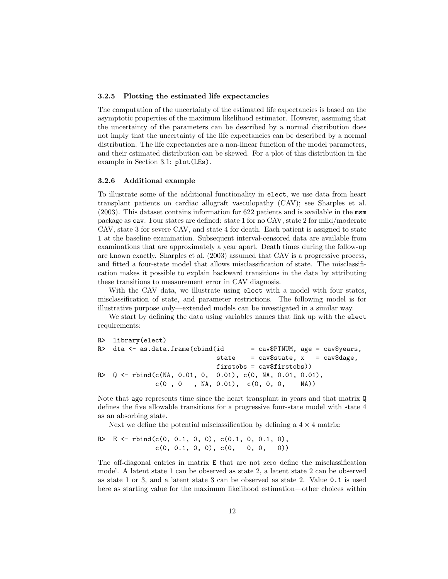### 3.2.5 Plotting the estimated life expectancies

The computation of the uncertainty of the estimated life expectancies is based on the asymptotic properties of the maximum likelihood estimator. However, assuming that the uncertainty of the parameters can be described by a normal distribution does not imply that the uncertainty of the life expectancies can be described by a normal distribution. The life expectancies are a non-linear function of the model parameters, and their estimated distribution can be skewed. For a plot of this distribution in the example in Section 3.1: plot(LEs).

#### 3.2.6 Additional example

To illustrate some of the additional functionality in elect, we use data from heart transplant patients on cardiac allograft vasculopathy (CAV); see Sharples et al. (2003). This dataset contains information for 622 patients and is available in the msm package as cav. Four states are defined: state 1 for no CAV, state 2 for mild/moderate CAV, state 3 for severe CAV, and state 4 for death. Each patient is assigned to state 1 at the baseline examination. Subsequent interval-censored data are available from examinations that are approximately a year apart. Death times during the follow-up are known exactly. Sharples et al. (2003) assumed that CAV is a progressive process, and fitted a four-state model that allows misclassification of state. The misclassification makes it possible to explain backward transitions in the data by attributing these transitions to measurement error in CAV diagnosis.

With the CAV data, we illustrate using elect with a model with four states, misclassification of state, and parameter restrictions. The following model is for illustrative purpose only—extended models can be investigated in a similar way.

We start by defining the data using variables names that link up with the elect requirements:

```
R> library(elect)
R> dta \leq as.data.frame(cbind(id = cav$PTNUM, age = cav$years,
                               state = cav$state, x = cav$degree,
                               firstobs = cav$firstobs))
R> Q <- rbind(c(NA, 0.01, 0, 0.01), c(0, NA, 0.01, 0.01),
               c(0, 0, \text{NA}, 0.01), c(0, 0, 0, \text{NA}))
```
Note that age represents time since the heart transplant in years and that matrix Q defines the five allowable transitions for a progressive four-state model with state 4 as an absorbing state.

Next we define the potential misclassification by defining a  $4 \times 4$  matrix:

R>  $E \leftarrow \text{rbind}(c(0, 0.1, 0, 0), c(0.1, 0, 0.1, 0),$  $c(0, 0.1, 0, 0), c(0, 0, 0, 0)$ 

The off-diagonal entries in matrix E that are not zero define the misclassification model. A latent state 1 can be observed as state 2, a latent state 2 can be observed as state 1 or 3, and a latent state 3 can be observed as state 2. Value 0.1 is used here as starting value for the maximum likelihood estimation—other choices within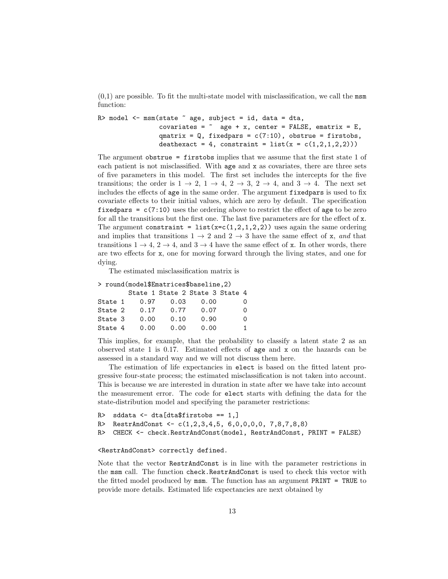$(0,1)$  are possible. To fit the multi-state model with misclassification, we call the msm function:

```
R> model \leq msm(state \in age, subject = id, data = dta,
                covariates = \sim age + x, center = FALSE, ematrix = E,
                qmatrix = Q, fixedpars = c(7:10), obstrue = firstobs,
                deathexact = 4, constraint = list(x = c(1,2,1,2,2)))
```
The argument obstrue = firstobs implies that we assume that the first state 1 of each patient is not misclassified. With age and x as covariates, there are three sets of five parameters in this model. The first set includes the intercepts for the five transitions; the order is  $1 \rightarrow 2$ ,  $1 \rightarrow 4$ ,  $2 \rightarrow 3$ ,  $2 \rightarrow 4$ , and  $3 \rightarrow 4$ . The next set includes the effects of age in the same order. The argument fixedpars is used to fix covariate effects to their initial values, which are zero by default. The specification fixed  $q$  =  $c(7:10)$  uses the ordering above to restrict the effect of age to be zero for all the transitions but the first one. The last five parameters are for the effect of x. The argument constraint = list( $x=c(1,2,1,2,2)$ ) uses again the same ordering and implies that transitions  $1 \rightarrow 2$  and  $2 \rightarrow 3$  have the same effect of x, and that transitions  $1 \rightarrow 4$ ,  $2 \rightarrow 4$ , and  $3 \rightarrow 4$  have the same effect of x. In other words, there are two effects for x, one for moving forward through the living states, and one for dying.

The estimated misclassification matrix is

#### > round(model\$Ematrices\$baseline,2)

|         |      |      | State 1 State 2 State 3 State 4 |          |
|---------|------|------|---------------------------------|----------|
| State 1 | 0.97 | 0.03 | 0.00                            | $\Omega$ |
| State 2 | 0.17 | 0.77 | 0.07                            | 0        |
| State 3 | 0.00 | 0.10 | 0.90                            | 0        |
| State 4 | 0.00 | 0.00 | 0.00                            | 1.       |

This implies, for example, that the probability to classify a latent state 2 as an observed state 1 is 0.17. Estimated effects of age and x on the hazards can be assessed in a standard way and we will not discuss them here.

The estimation of life expectancies in elect is based on the fitted latent progressive four-state process; the estimated misclassification is not taken into account. This is because we are interested in duration in state after we have take into account the measurement error. The code for elect starts with defining the data for the state-distribution model and specifying the parameter restrictions:

```
R> sddata \leq dta[dta$firstobs == 1,]
R> RestrAndConst <- c(1,2,3,4,5, 6,0,0,0,0, 7,8,7,8,8)
R> CHECK <- check.RestrAndConst(model, RestrAndConst, PRINT = FALSE)
```
#### <RestrAndConst> correctly defined.

Note that the vector RestrAndConst is in line with the parameter restrictions in the msm call. The function check.RestrAndConst is used to check this vector with the fitted model produced by msm. The function has an argument PRINT = TRUE to provide more details. Estimated life expectancies are next obtained by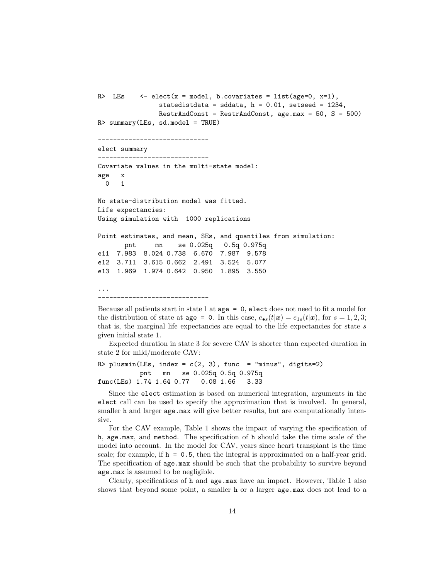```
R> LEs \langle - elect(x = model, b.covariates = list(age=0, x=1),
               statedistdata = sddata, h = 0.01, setseed = 1234,
               RestrAndConst = RestrAndConst, age.max = 50, S = 500)
R> summary(LEs, sd.model = TRUE)
  -----------------------------
elect summary
-----------------------------
Covariate values in the multi-state model:
age x
 0 1
No state-distribution model was fitted.
Life expectancies:
Using simulation with 1000 replications
Point estimates, and mean, SEs, and quantiles from simulation:
      pnt mn se 0.025q 0.5q 0.975q
e11 7.983 8.024 0.738 6.670 7.987 9.578
e12 3.711 3.615 0.662 2.491 3.524 5.077
e13 1.969 1.974 0.642 0.950 1.895 3.550
...
    -----------------------------
```
Because all patients start in state 1 at age = 0, elect does not need to fit a model for the distribution of state at age = 0. In this case,  $e_{\bullet s}(t|x) = e_{1s}(t|x)$ , for  $s = 1, 2, 3$ ; that is, the marginal life expectancies are equal to the life expectancies for state  $s$ given initial state 1.

Expected duration in state 3 for severe CAV is shorter than expected duration in state 2 for mild/moderate CAV:

```
R> plusmin(LEs, index = c(2, 3), func = "minus", digits=2)
          pnt mn se 0.025q 0.5q 0.975q
func(LEs) 1.74 1.64 0.77 0.08 1.66 3.33
```
Since the elect estimation is based on numerical integration, arguments in the elect call can be used to specify the approximation that is involved. In general, smaller h and larger age.max will give better results, but are computationally intensive.

For the CAV example, Table 1 shows the impact of varying the specification of h, age.max, and method. The specification of h should take the time scale of the model into account. In the model for CAV, years since heart transplant is the time scale; for example, if h = 0.5, then the integral is approximated on a half-year grid. The specification of age.max should be such that the probability to survive beyond age.max is assumed to be negligible.

Clearly, specifications of h and age.max have an impact. However, Table 1 also shows that beyond some point, a smaller h or a larger  $age.max$  does not lead to a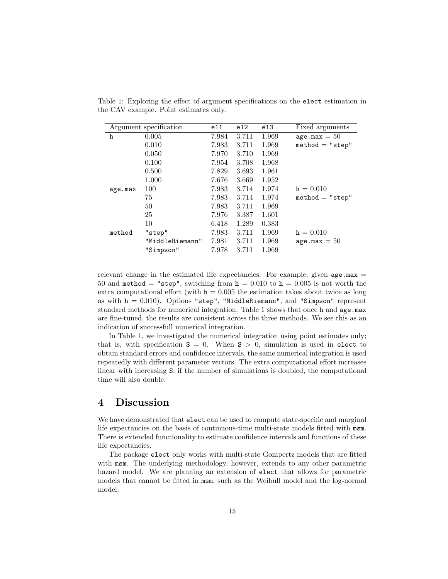| Argument specification |                 | e11   | e12   | e13   | Fixed arguments   |
|------------------------|-----------------|-------|-------|-------|-------------------|
| h                      | 0.005           | 7.984 | 3.711 | 1.969 | age.max $= 50$    |
|                        | 0.010           | 7.983 | 3.711 | 1.969 | $method = "step"$ |
|                        | 0.050           | 7.970 | 3.710 | 1.969 |                   |
|                        | 0.100           | 7.954 | 3.708 | 1.968 |                   |
|                        | 0.500           | 7.829 | 3.693 | 1.961 |                   |
|                        | 1.000           | 7.676 | 3.669 | 1.952 |                   |
| age.max                | 100             | 7.983 | 3.714 | 1.974 | $h = 0.010$       |
|                        | 75              | 7.983 | 3.714 | 1.974 | $method = "step"$ |
|                        | 50              | 7.983 | 3.711 | 1.969 |                   |
|                        | 25              | 7.976 | 3.387 | 1.601 |                   |
|                        | 10              | 6.418 | 1.289 | 0.383 |                   |
| method                 | "step"          | 7.983 | 3.711 | 1.969 | $h = 0.010$       |
|                        | "MiddleRiemann" | 7.981 | 3.711 | 1.969 | age.max $= 50$    |
|                        | "Simpson"       | 7.978 | 3.711 | 1.969 |                   |

Table 1: Exploring the effect of argument specifications on the elect estimation in the CAV example. Point estimates only.

relevant change in the estimated life expectancies. For example, given  $age.max =$ 50 and method = "step", switching from  $h = 0.010$  to  $h = 0.005$  is not worth the extra computational effort (with  $h = 0.005$  the estimation takes about twice as long as with  $h = 0.010$ ). Options "step", "MiddleRiemann", and "Simpson" represent standard methods for numerical integration. Table 1 shows that once h and age.max are fine-tuned, the results are consistent across the three methods. We see this as an indication of successfull numerical integration.

In Table 1, we investigated the numerical integration using point estimates only; that is, with specification  $S = 0$ . When  $S > 0$ , simulation is used in elect to obtain standard errors and confidence intervals, the same numerical integration is used repeatedly with different parameter vectors. The extra computational effort increases linear with increasing S: if the number of simulations is doubled, the computational time will also double.

# 4 Discussion

We have demonstrated that elect can be used to compute state-specific and marginal life expectancies on the basis of continuous-time multi-state models fitted with msm. There is extended functionality to estimate confidence intervals and functions of these life expectancies.

The package elect only works with multi-state Gompertz models that are fitted with msm. The underlying methodology, however, extends to any other parametric hazard model. We are planning an extension of elect that allows for parametric models that cannot be fitted in msm, such as the Weibull model and the log-normal model.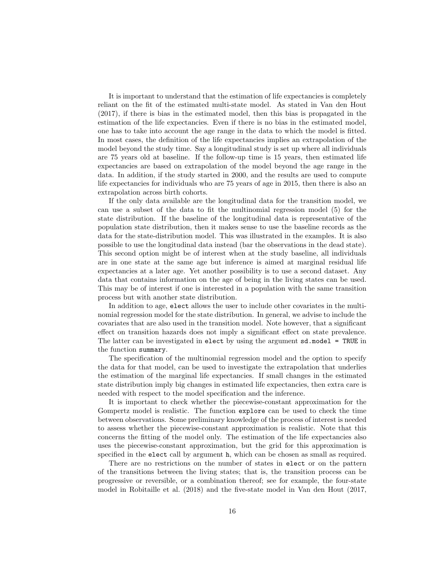It is important to understand that the estimation of life expectancies is completely reliant on the fit of the estimated multi-state model. As stated in Van den Hout (2017), if there is bias in the estimated model, then this bias is propagated in the estimation of the life expectancies. Even if there is no bias in the estimated model, one has to take into account the age range in the data to which the model is fitted. In most cases, the definition of the life expectancies implies an extrapolation of the model beyond the study time. Say a longitudinal study is set up where all individuals are 75 years old at baseline. If the follow-up time is 15 years, then estimated life expectancies are based on extrapolation of the model beyond the age range in the data. In addition, if the study started in 2000, and the results are used to compute life expectancies for individuals who are 75 years of age in 2015, then there is also an extrapolation across birth cohorts.

If the only data available are the longitudinal data for the transition model, we can use a subset of the data to fit the multinomial regression model (5) for the state distribution. If the baseline of the longitudinal data is representative of the population state distribution, then it makes sense to use the baseline records as the data for the state-distribution model. This was illustrated in the examples. It is also possible to use the longitudinal data instead (bar the observations in the dead state). This second option might be of interest when at the study baseline, all individuals are in one state at the same age but inference is aimed at marginal residual life expectancies at a later age. Yet another possibility is to use a second dataset. Any data that contains information on the age of being in the living states can be used. This may be of interest if one is interested in a population with the same transition process but with another state distribution.

In addition to age, elect allows the user to include other covariates in the multinomial regression model for the state distribution. In general, we advise to include the covariates that are also used in the transition model. Note however, that a significant effect on transition hazards does not imply a significant effect on state prevalence. The latter can be investigated in elect by using the argument sd.model = TRUE in the function summary.

The specification of the multinomial regression model and the option to specify the data for that model, can be used to investigate the extrapolation that underlies the estimation of the marginal life expectancies. If small changes in the estimated state distribution imply big changes in estimated life expectancies, then extra care is needed with respect to the model specification and the inference.

It is important to check whether the piecewise-constant approximation for the Gompertz model is realistic. The function explore can be used to check the time between observations. Some preliminary knowledge of the process of interest is needed to assess whether the piecewise-constant approximation is realistic. Note that this concerns the fitting of the model only. The estimation of the life expectancies also uses the piecewise-constant approximation, but the grid for this approximation is specified in the elect call by argument h, which can be chosen as small as required.

There are no restrictions on the number of states in elect or on the pattern of the transitions between the living states; that is, the transition process can be progressive or reversible, or a combination thereof; see for example, the four-state model in Robitaille et al. (2018) and the five-state model in Van den Hout (2017,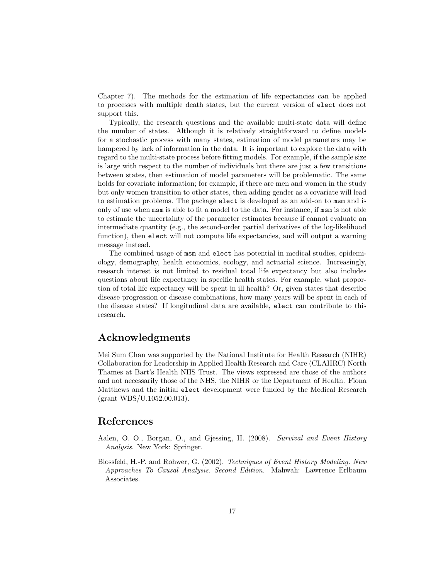Chapter 7). The methods for the estimation of life expectancies can be applied to processes with multiple death states, but the current version of elect does not support this.

Typically, the research questions and the available multi-state data will define the number of states. Although it is relatively straightforward to define models for a stochastic process with many states, estimation of model parameters may be hampered by lack of information in the data. It is important to explore the data with regard to the multi-state process before fitting models. For example, if the sample size is large with respect to the number of individuals but there are just a few transitions between states, then estimation of model parameters will be problematic. The same holds for covariate information; for example, if there are men and women in the study but only women transition to other states, then adding gender as a covariate will lead to estimation problems. The package elect is developed as an add-on to msm and is only of use when msm is able to fit a model to the data. For instance, if msm is not able to estimate the uncertainty of the parameter estimates because if cannot evaluate an intermediate quantity (e.g., the second-order partial derivatives of the log-likelihood function), then elect will not compute life expectancies, and will output a warning message instead.

The combined usage of msm and elect has potential in medical studies, epidemiology, demography, health economics, ecology, and actuarial science. Increasingly, research interest is not limited to residual total life expectancy but also includes questions about life expectancy in specific health states. For example, what proportion of total life expectancy will be spent in ill health? Or, given states that describe disease progression or disease combinations, how many years will be spent in each of the disease states? If longitudinal data are available, elect can contribute to this research.

# Acknowledgments

Mei Sum Chan was supported by the National Institute for Health Research (NIHR) Collaboration for Leadership in Applied Health Research and Care (CLAHRC) North Thames at Bart's Health NHS Trust. The views expressed are those of the authors and not necessarily those of the NHS, the NIHR or the Department of Health. Fiona Matthews and the initial elect development were funded by the Medical Research (grant WBS/U.1052.00.013).

# References

- Aalen, O. O., Borgan, O., and Gjessing, H. (2008). Survival and Event History Analysis. New York: Springer.
- Blossfeld, H.-P. and Rohwer, G. (2002). Techniques of Event History Modeling. New Approaches To Causal Analysis. Second Edition. Mahwah: Lawrence Erlbaum Associates.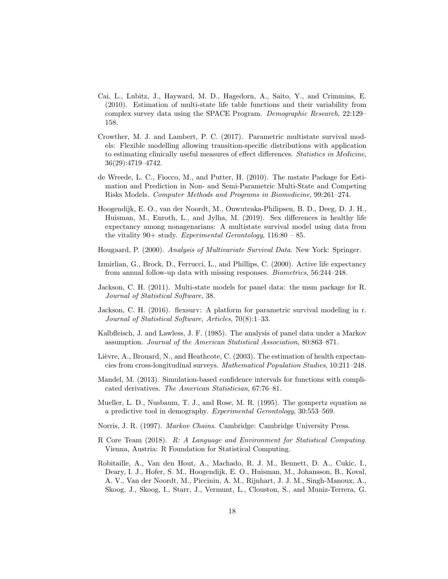- Cai, L., Lubitz, J., Hayward, M. D., Hagedorn, A., Saito, Y., and Crimmins, E. (2010). Estimation of multi-state life table functions and their variability from complex survey data using the SPACE Program. Demographic Research, 22:129– 158.
- Crowther, M. J. and Lambert, P. C. (2017). Parametric multistate survival models: Flexible modelling allowing transition-specific distributions with application to estimating clinically useful measures of effect differences. Statistics in Medicine, 36(29):4719–4742.
- de Wreede, L. C., Fiocco, M., and Putter, H. (2010). The mstate Package for Estimation and Prediction in Non- and Semi-Parametric Multi-State and Competing Risks Models. Computer Methods and Programs in Biomedicine, 99:261–274.
- Hoogendijk, E. O., van der Noordt, M., Onwuteaka-Philipsen, B. D., Deeg, D. J. H., Huisman, M., Enroth, L., and Jylha, M. (2019). Sex differences in healthy life expectancy among nonagenarians: A multistate survival model using data from the vitality 90+ study. Experimental Gerontology, 116:80 – 85.
- Hougaard, P. (2000). Analysis of Multivariate Survival Data. New York: Springer.
- Izmirlian, G., Brock, D., Ferrucci, L., and Phillips, C. (2000). Active life expectancy from annual follow-up data with missing responses. Biometrics, 56:244–248.
- Jackson, C. H. (2011). Multi-state models for panel data: the msm package for R. Journal of Statistical Software, 38.
- Jackson, C. H. (2016). flexsurv: A platform for parametric survival modeling in r. Journal of Statistical Software, Articles, 70(8):1–33.
- Kalbfleisch, J. and Lawless, J. F. (1985). The analysis of panel data under a Markov assumption. Journal of the American Statistical Association, 80:863–871.
- Lièvre, A., Brouard, N., and Heathcote, C.  $(2003)$ . The estimation of health expectancies from cross-longitudinal surveys. Mathematical Population Studies, 10:211–248.
- Mandel, M. (2013). Simulation-based confidence intervals for functions with complicated derivatives. The American Statistician, 67:76–81.
- Mueller, L. D., Nusbaum, T. J., and Rose, M. R. (1995). The gompertz equation as a predictive tool in demography. Experimental Gerontology, 30:553–569.
- Norris, J. R. (1997). Markov Chains. Cambridge: Cambridge University Press.
- R Core Team (2018). R: A Language and Environment for Statistical Computing. Vienna, Austria: R Foundation for Statistical Computing.
- Robitaille, A., Van den Hout, A., Machado, R. J. M., Bennett, D. A., Cukic, I., Deary, I. J., Hofer, S. M., Hoogendijk, E. O., Huisman, M., Johansson, B., Koval, A. V., Van der Noordt, M., Piccinin, A. M., Rijnhart, J. J. M., Singh-Manoux, A., Skoog, J., Skoog, I., Starr, J., Vermunt, L., Clouston, S., and Muniz-Terrera, G.